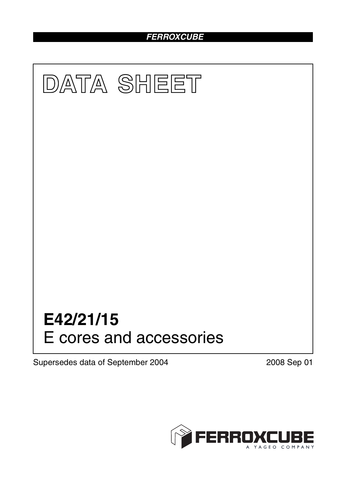# *FERROXCUBE*



Supersedes data of September 2004 2008 Sep 01

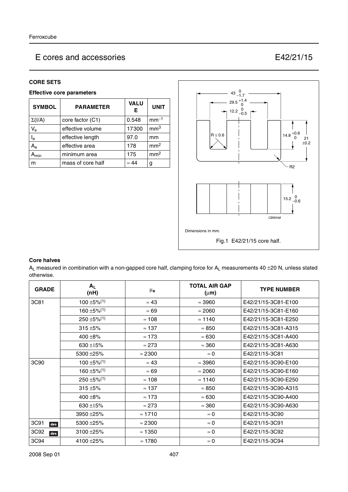#### **CORE SETS**

#### **Effective core parameters**

| <b>SYMBOL</b>             | <b>PARAMETER</b>  | <b>VALU</b><br>Е | <b>UNIT</b>     |
|---------------------------|-------------------|------------------|-----------------|
| $\Sigma(I/A)$             | core factor (C1)  | 0.548            | $mm-1$          |
| $V_{\rm e}$               | effective volume  | 17300            | mm <sup>3</sup> |
| $\mathsf{I}_\mathsf{e}$   | effective length  | 97.0             | mm              |
| $\mathsf{A}_{\mathsf{e}}$ | effective area    | 178              | mm <sup>2</sup> |
| min                       | minimum area      | 175              | mm <sup>2</sup> |
| m                         | mass of core half | $\approx 44$     | g               |



#### **Core halves**

 $A_L$  measured in combination with a non-gapped core half, clamping force for  $A_L$  measurements 40  $\pm$ 20 N, unless stated otherwise.

| <b>GRADE</b> | $A_L$<br>(nH)                | μ <sub>e</sub> | <b>TOTAL AIR GAP</b><br>$(\mu m)$ | <b>TYPE NUMBER</b>  |
|--------------|------------------------------|----------------|-----------------------------------|---------------------|
| 3C81         | $100 \pm 5\%$ <sup>(1)</sup> | $\approx 43$   | $\approx$ 3960                    | E42/21/15-3C81-E100 |
|              | $160 \pm 5\%$ <sup>(1)</sup> | $\approx 69$   | $\approx 2060$                    | E42/21/15-3C81-E160 |
|              | $250 \pm 5\%/1$              | $\approx$ 108  | $\approx$ 1140                    | E42/21/15-3C81-E250 |
|              | $315 + 5%$                   | $\approx 137$  | $\approx 850$                     | E42/21/15-3C81-A315 |
|              | 400 $\pm$ 8%                 | $\approx$ 173  | $\approx 630$                     | E42/21/15-3C81-A400 |
|              | 630 ±15%                     | $\approx$ 273  | $\approx 360$                     | E42/21/15-3C81-A630 |
|              | 5300 ± 25%                   | $\approx$ 2300 | $\approx 0$                       | E42/21/15-3C81      |
| 3C90         | $100 \pm 5\%$ <sup>(1)</sup> | $\approx 43$   | $\approx$ 3960                    | E42/21/15-3C90-E100 |
|              | $160 \pm 5\%$ <sup>(1)</sup> | $\approx 69$   | $\approx 2060$                    | E42/21/15-3C90-E160 |
|              | $250 \pm 5\%$ <sup>(1)</sup> | $\approx$ 108  | $\approx$ 1140                    | E42/21/15-3C90-E250 |
|              | $315 + 5%$                   | $\approx$ 137  | $\approx 850$                     | E42/21/15-3C90-A315 |
|              | 400 $\pm$ 8%                 | $\approx$ 173  | $\approx 630$                     | E42/21/15-3C90-A400 |
|              | 630 $\pm$ 15%                | $\approx$ 273  | $\approx 360$                     | E42/21/15-3C90-A630 |
|              | 3950 ± 25%                   | $\approx$ 1710 | $\approx 0$                       | E42/21/15-3C90      |
| 3C91<br>des  | 5300 ± 25%                   | $\approx$ 2300 | $\approx 0$                       | E42/21/15-3C91      |
| 3C92<br>des  | $3100 + 25%$                 | $\approx$ 1350 | $\approx 0$                       | E42/21/15-3C92      |
| 3C94         | 4100 ± 25%                   | $\approx 1780$ | $\approx 0$                       | E42/21/15-3C94      |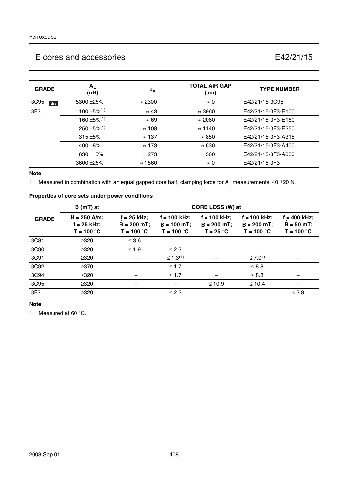| <b>GRADE</b> | $A_L$<br>(nH)                | μ <sub>e</sub> | <b>TOTAL AIR GAP</b><br>$(\mu m)$ | <b>TYPE NUMBER</b> |
|--------------|------------------------------|----------------|-----------------------------------|--------------------|
| 3C95<br>des  | 5300 ± 25%                   | $\approx$ 2300 | $\approx 0$                       | E42/21/15-3C95     |
| 3F3          | $100 \pm 5\%$ <sup>(1)</sup> | $\approx 43$   | $\approx$ 3960                    | E42/21/15-3F3-E100 |
|              | $160 \pm 5\%$ <sup>(1)</sup> | $\approx 69$   | $\approx 2060$                    | E42/21/15-3F3-E160 |
|              | $250 \pm 5\%/1$              | $\approx$ 108  | $\approx$ 1140                    | E42/21/15-3F3-E250 |
|              | $315 + 5%$                   | $\approx$ 137  | $\approx 850$                     | E42/21/15-3F3-A315 |
|              | $400 + 8\%$                  | $\approx$ 173  | $\approx 630$                     | E42/21/15-3F3-A400 |
|              | $630 + 15%$                  | $\approx$ 273  | $\approx 360$                     | E42/21/15-3F3-A630 |
|              | $3600 + 25%$                 | $\approx$ 1560 | $\approx 0$                       | E42/21/15-3F3      |

#### **Note**

1. Measured in combination with an equal gapped core half, clamping force for  $A_L$  measurements, 40  $\pm$ 20 N.

| Properties of core sets under power conditions |  |
|------------------------------------------------|--|
|                                                |  |

|                 | $B(mT)$ at                                      | CORE LOSS (W) at                               |                                                 |                                                |                                                 |                                              |
|-----------------|-------------------------------------------------|------------------------------------------------|-------------------------------------------------|------------------------------------------------|-------------------------------------------------|----------------------------------------------|
| <b>GRADE</b>    | $H = 250$ A/m;<br>$f = 25$ kHz;<br>$T = 100 °C$ | $f = 25$ kHz;<br>$B = 200 mT;$<br>$T = 100 °C$ | $f = 100$ kHz;<br>$B = 100 mT;$<br>$T = 100 °C$ | $f = 100$ kHz;<br>$B = 200 mT;$<br>$T = 25 °C$ | $f = 100$ kHz;<br>$B = 200$ mT;<br>$T = 100 °C$ | $= 400$ kHz;<br>$B = 50 mT;$<br>$T = 100 °C$ |
| 3C81            | $\geq 320$                                      | $\leq 3.6$                                     |                                                 |                                                |                                                 |                                              |
| 3C90            | $\geq 320$                                      | $\leq 1.9$                                     | $\leq$ 2.2                                      |                                                |                                                 |                                              |
| 3C91            | $\geq 320$                                      |                                                | $\leq 1.3^{(1)}$                                |                                                | ≤ 7.0 <sup>1)</sup>                             |                                              |
| 3C92            | $\geq$ 370                                      |                                                | $\leq 1.7$                                      |                                                | $\leq 8.8$                                      |                                              |
| 3C94            | $\geq 320$                                      |                                                | $\leq 1.7$                                      |                                                | $\leq 8.8$                                      |                                              |
| 3C95            | $\geq 320$                                      |                                                |                                                 | $\leq 10.9$                                    | $\leq 10.4$                                     |                                              |
| 3F <sub>3</sub> | $\geq 320$                                      |                                                | $\leq$ 2.2                                      |                                                |                                                 | $\leq$ 3.8                                   |

## **Note**

1. Measured at 60 °C.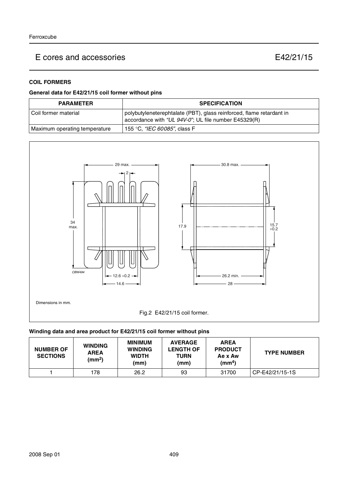## **COIL FORMERS**

### **General data for E42/21/15 coil former without pins**

| <b>PARAMETER</b>              | <b>SPECIFICATION</b>                                                                                                         |  |
|-------------------------------|------------------------------------------------------------------------------------------------------------------------------|--|
| Coil former material          | polybutyleneterephtalate (PBT), glass reinforced, flame retardant in<br>accordance with "UL 94V-0"; UL file number E45329(R) |  |
| Maximum operating temperature | 155 °C, <i>"IEC 60085"</i> , class F                                                                                         |  |



### **Winding data and area product for E42/21/15 coil former without pins**

| <b>NUMBER OF</b><br><b>SECTIONS</b> | <b>WINDING</b><br><b>AREA</b><br>(mm <sup>2</sup> ) | <b>MINIMUM</b><br><b>WINDING</b><br><b>WIDTH</b><br>(mm) | <b>AVERAGE</b><br><b>LENGTH OF</b><br><b>TURN</b><br>(mm) | <b>AREA</b><br><b>PRODUCT</b><br>Ae x Aw<br>(mm <sup>4</sup> ) | <b>TYPE NUMBER</b> |
|-------------------------------------|-----------------------------------------------------|----------------------------------------------------------|-----------------------------------------------------------|----------------------------------------------------------------|--------------------|
|                                     | 178                                                 | 26.2                                                     | 93                                                        | 31700                                                          | CP-E42/21/15-1S    |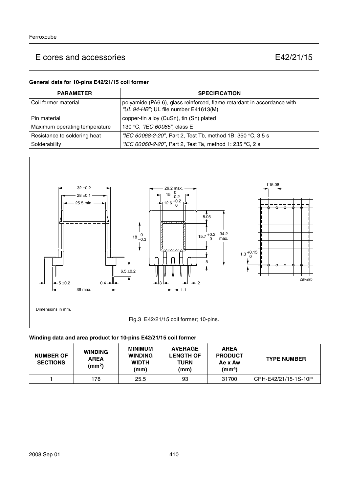### **General data for 10-pins E42/21/15 coil former**

| <b>PARAMETER</b>              | <b>SPECIFICATION</b>                                                                                            |
|-------------------------------|-----------------------------------------------------------------------------------------------------------------|
| l Coil former material        | polyamide (PA6.6), glass reinforced, flame retardant in accordance with<br>"UL 94-HB"; UL file number E41613(M) |
| l Pin material                | copper-tin alloy (CuSn), tin (Sn) plated                                                                        |
| Maximum operating temperature | 130 °C, "IEC 60085", class E                                                                                    |
| Resistance to soldering heat  | "IEC 60068-2-20", Part 2, Test Tb, method 1B: 350 °C, 3.5 s                                                     |
| Solderability                 | "IEC 60068-2-20", Part 2, Test Ta, method 1: 235 °C, 2 s                                                        |



## **Winding data and area product for 10-pins E42/21/15 coil former**

| <b>NUMBER OF</b><br><b>SECTIONS</b> | <b>WINDING</b><br><b>AREA</b><br>(mm <sup>2</sup> ) | <b>MINIMUM</b><br><b>WINDING</b><br><b>WIDTH</b><br>(mm) | <b>AVERAGE</b><br><b>LENGTH OF</b><br><b>TURN</b><br>(mm) | <b>AREA</b><br><b>PRODUCT</b><br>Ae x Aw<br>(mm <sup>4</sup> ) | <b>TYPE NUMBER</b>   |
|-------------------------------------|-----------------------------------------------------|----------------------------------------------------------|-----------------------------------------------------------|----------------------------------------------------------------|----------------------|
|                                     | 178                                                 | 25.5                                                     | 93                                                        | 31700                                                          | CPH-E42/21/15-1S-10P |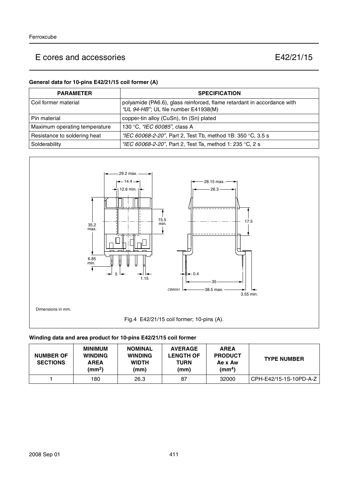### **General data for 10-pins E42/21/15 coil former (A)**

| <b>PARAMETER</b>              | <b>SPECIFICATION</b>                                                                                            |
|-------------------------------|-----------------------------------------------------------------------------------------------------------------|
| l Coil former material        | polyamide (PA6.6), glass reinforced, flame retardant in accordance with<br>"UL 94-HB"; UL file number E41938(M) |
| l Pin material                | copper-tin alloy (CuSn), tin (Sn) plated                                                                        |
| Maximum operating temperature | 130 °C, "IEC 60085", class A                                                                                    |
| Resistance to soldering heat  | "IEC 60068-2-20", Part 2, Test Tb, method 1B: 350 °C, 3.5 s                                                     |
| Solderability                 | "IEC 60068-2-20", Part 2, Test Ta, method 1: 235 °C, 2 s                                                        |



## **Winding data and area product for 10-pins E42/21/15 coil former**

| <b>NUMBER OF</b><br><b>SECTIONS</b> | <b>MINIMUM</b><br><b>WINDING</b><br><b>AREA</b><br>$\text{(mm}^2)$ | <b>NOMINAL</b><br><b>WINDING</b><br><b>WIDTH</b><br>(mm) | <b>AVERAGE</b><br><b>LENGTH OF</b><br><b>TURN</b><br>(mm) | <b>AREA</b><br><b>PRODUCT</b><br>Ae x Aw<br>(mm <sup>4</sup> ) | <b>TYPE NUMBER</b>     |
|-------------------------------------|--------------------------------------------------------------------|----------------------------------------------------------|-----------------------------------------------------------|----------------------------------------------------------------|------------------------|
|                                     | 180                                                                | 26.3                                                     | 87                                                        | 32000                                                          | CPH-E42/15-1S-10PD-A-Z |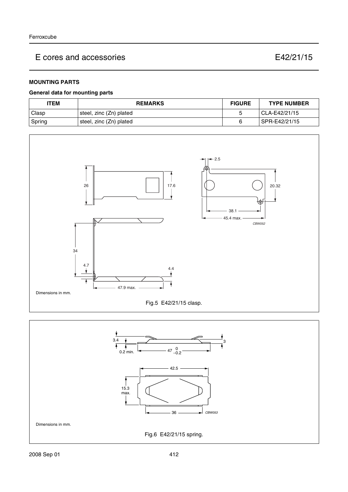## **MOUNTING PARTS**

#### **General data for mounting parts**

| <b>ITEM</b> | <b>REMARKS</b>          | <b>FIGURE</b> | <b>TYPE NUMBER</b> |
|-------------|-------------------------|---------------|--------------------|
| Clasp       | steel, zinc (Zn) plated |               | CLA-E42/21/15      |
| Spring      | steel, zinc (Zn) plated |               | SPR-E42/21/15      |